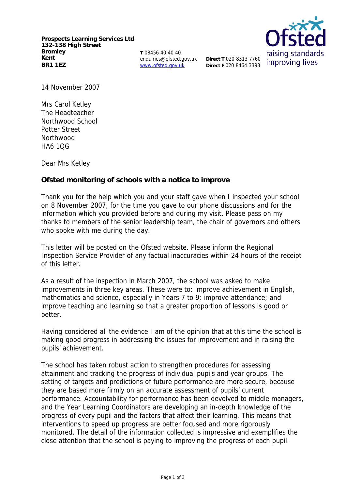**Prospects Learning Services Ltd 132-138 High Street Bromley Kent BR1 1EZ**

**T** 08456 40 40 40 enquiries@ofsted.gov.uk www.ofsted.gov.uk



14 November 2007

Mrs Carol Ketley The Headteacher Northwood School Potter Street **Northwood** HA6 1QG

Dear Mrs Ketley

**Ofsted monitoring of schools with a notice to improve**

Thank you for the help which you and your staff gave when I inspected your school on 8 November 2007, for the time you gave to our phone discussions and for the information which you provided before and during my visit. Please pass on my thanks to members of the senior leadership team, the chair of governors and others who spoke with me during the day.

This letter will be posted on the Ofsted website. Please inform the Regional Inspection Service Provider of any factual inaccuracies within 24 hours of the receipt of this letter.

As a result of the inspection in March 2007, the school was asked to make improvements in three key areas. These were to: improve achievement in English, mathematics and science, especially in Years 7 to 9; improve attendance; and improve teaching and learning so that a greater proportion of lessons is good or better.

Having considered all the evidence I am of the opinion that at this time the school is making good progress in addressing the issues for improvement and in raising the pupils' achievement.

The school has taken robust action to strengthen procedures for assessing attainment and tracking the progress of individual pupils and year groups. The setting of targets and predictions of future performance are more secure, because they are based more firmly on an accurate assessment of pupils' current performance. Accountability for performance has been devolved to middle managers, and the Year Learning Coordinators are developing an in-depth knowledge of the progress of every pupil and the factors that affect their learning. This means that interventions to speed up progress are better focused and more rigorously monitored. The detail of the information collected is impressive and exemplifies the close attention that the school is paying to improving the progress of each pupil.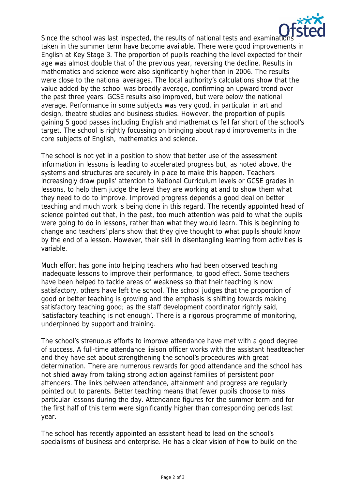

Since the school was last inspected, the results of national tests and examinations. taken in the summer term have become available. There were good improvements in English at Key Stage 3. The proportion of pupils reaching the level expected for their age was almost double that of the previous year, reversing the decline. Results in mathematics and science were also significantly higher than in 2006. The results were close to the national averages. The local authority's calculations show that the value added by the school was broadly average, confirming an upward trend over the past three years. GCSE results also improved, but were below the national average. Performance in some subjects was very good, in particular in art and design, theatre studies and business studies. However, the proportion of pupils gaining 5 good passes including English and mathematics fell far short of the school's target. The school is rightly focussing on bringing about rapid improvements in the core subjects of English, mathematics and science.

The school is not yet in a position to show that better use of the assessment information in lessons is leading to accelerated progress but, as noted above, the systems and structures are securely in place to make this happen. Teachers increasingly draw pupils' attention to National Curriculum levels or GCSE grades in lessons, to help them judge the level they are working at and to show them what they need to do to improve. Improved progress depends a good deal on better teaching and much work is being done in this regard. The recently appointed head of science pointed out that, in the past, too much attention was paid to what the pupils were going to do in lessons, rather than what they would learn. This is beginning to change and teachers' plans show that they give thought to what pupils should know by the end of a lesson. However, their skill in disentangling learning from activities is variable.

Much effort has gone into helping teachers who had been observed teaching inadequate lessons to improve their performance, to good effect. Some teachers have been helped to tackle areas of weakness so that their teaching is now satisfactory, others have left the school. The school judges that the proportion of good or better teaching is growing and the emphasis is shifting towards making satisfactory teaching good; as the staff development coordinator rightly said, 'satisfactory teaching is not enough'. There is a rigorous programme of monitoring, underpinned by support and training.

The school's strenuous efforts to improve attendance have met with a good degree of success. A full-time attendance liaison officer works with the assistant headteacher and they have set about strengthening the school's procedures with great determination. There are numerous rewards for good attendance and the school has not shied away from taking strong action against families of persistent poor attenders. The links between attendance, attainment and progress are regularly pointed out to parents. Better teaching means that fewer pupils choose to miss particular lessons during the day. Attendance figures for the summer term and for the first half of this term were significantly higher than corresponding periods last year.

The school has recently appointed an assistant head to lead on the school's specialisms of business and enterprise. He has a clear vision of how to build on the